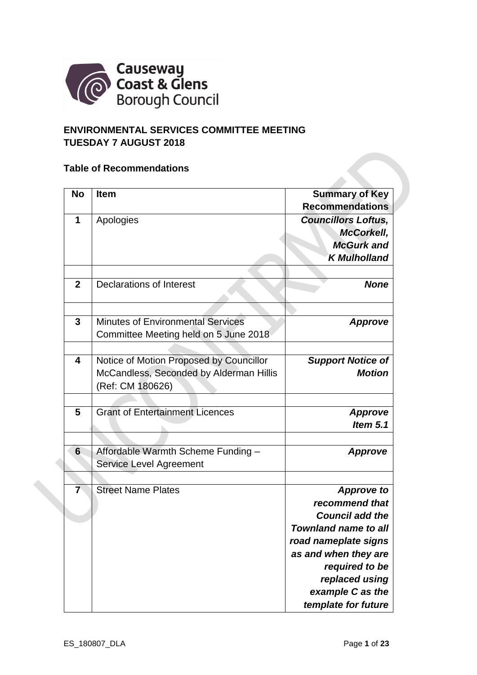

# **ENVIRONMENTAL SERVICES COMMITTEE MEETING TUESDAY 7 AUGUST 2018**

#### **Table of Recommendations**

| <b>No</b>               | <b>Item</b>                              | <b>Summary of Key</b>       |
|-------------------------|------------------------------------------|-----------------------------|
|                         |                                          | <b>Recommendations</b>      |
| 1                       | Apologies                                | <b>Councillors Loftus,</b>  |
|                         |                                          | McCorkell,                  |
|                         |                                          | <b>McGurk and</b>           |
|                         |                                          | <b>K</b> Mulholland         |
|                         |                                          |                             |
| $\mathbf{2}$            | <b>Declarations of Interest</b>          | <b>None</b>                 |
|                         |                                          |                             |
| 3                       | <b>Minutes of Environmental Services</b> | <b>Approve</b>              |
|                         | Committee Meeting held on 5 June 2018    |                             |
|                         |                                          |                             |
| $\overline{\mathbf{4}}$ | Notice of Motion Proposed by Councillor  | <b>Support Notice of</b>    |
|                         | McCandless, Seconded by Alderman Hillis  | <b>Motion</b>               |
|                         | (Ref: CM 180626)                         |                             |
|                         |                                          |                             |
| 5                       | <b>Grant of Entertainment Licences</b>   | <b>Approve</b>              |
|                         |                                          | <b>Item 5.1</b>             |
|                         |                                          |                             |
| 6                       | Affordable Warmth Scheme Funding -       | <b>Approve</b>              |
|                         | <b>Service Level Agreement</b>           |                             |
|                         |                                          |                             |
| $\overline{7}$          | <b>Street Name Plates</b>                | <b>Approve to</b>           |
|                         |                                          | recommend that              |
|                         |                                          | <b>Council add the</b>      |
|                         |                                          | <b>Townland name to all</b> |
|                         |                                          | road nameplate signs        |
|                         |                                          | as and when they are        |
|                         |                                          | required to be              |
|                         |                                          | replaced using              |
|                         |                                          | example C as the            |
|                         |                                          | template for future         |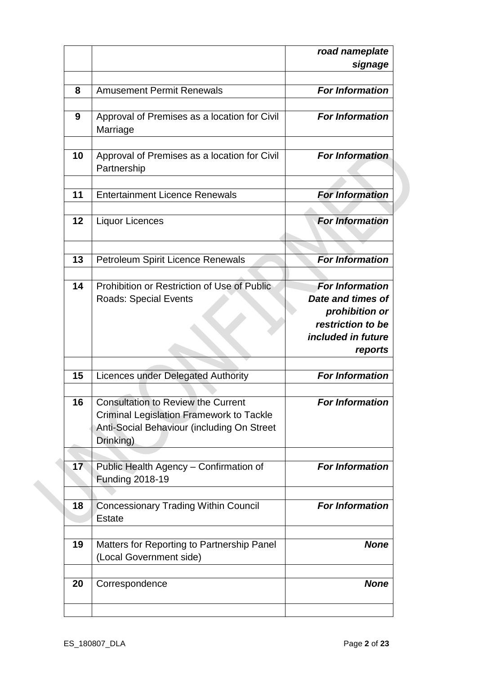|    |                                                                                                                                                               | road nameplate<br>signage                                                                                           |
|----|---------------------------------------------------------------------------------------------------------------------------------------------------------------|---------------------------------------------------------------------------------------------------------------------|
|    |                                                                                                                                                               |                                                                                                                     |
| 8  | <b>Amusement Permit Renewals</b>                                                                                                                              | <b>For Information</b>                                                                                              |
| 9  | Approval of Premises as a location for Civil<br>Marriage                                                                                                      | <b>For Information</b>                                                                                              |
| 10 | Approval of Premises as a location for Civil<br>Partnership                                                                                                   | <b>For Information</b>                                                                                              |
| 11 | <b>Entertainment Licence Renewals</b>                                                                                                                         | <b>For Information</b>                                                                                              |
| 12 | <b>Liquor Licences</b>                                                                                                                                        | <b>For Information</b>                                                                                              |
| 13 | <b>Petroleum Spirit Licence Renewals</b>                                                                                                                      | <b>For Information</b>                                                                                              |
|    | Prohibition or Restriction of Use of Public<br>14<br><b>Roads: Special Events</b>                                                                             | <b>For Information</b><br>Date and times of<br>prohibition or<br>restriction to be<br>included in future<br>reports |
| 15 | <b>Licences under Delegated Authority</b>                                                                                                                     | <b>For Information</b>                                                                                              |
|    | <b>Consultation to Review the Current</b><br>16<br><b>Criminal Legislation Framework to Tackle</b><br>Anti-Social Behaviour (including On Street<br>Drinking) | <b>For Information</b>                                                                                              |
|    | 17 <sub>2</sub><br>Public Health Agency - Confirmation of<br><b>Funding 2018-19</b>                                                                           | <b>For Information</b>                                                                                              |
|    | <b>Concessionary Trading Within Council</b><br>18<br><b>Estate</b>                                                                                            | <b>For Information</b>                                                                                              |
| 19 | Matters for Reporting to Partnership Panel<br>(Local Government side)                                                                                         | <b>None</b>                                                                                                         |
| 20 | Correspondence                                                                                                                                                | <b>None</b>                                                                                                         |
|    |                                                                                                                                                               |                                                                                                                     |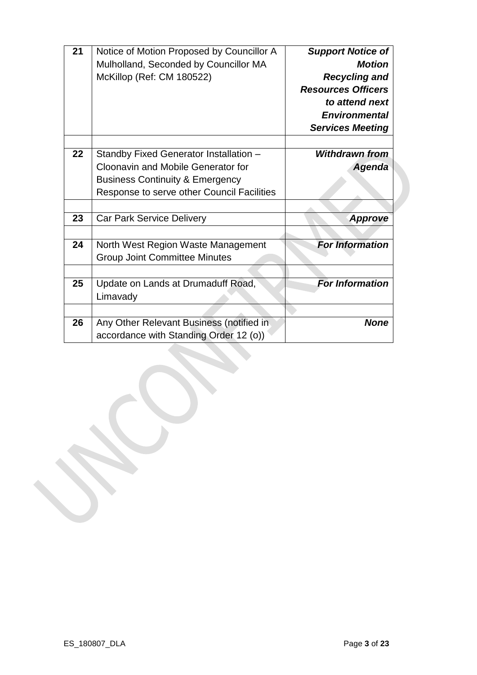| 21 | Notice of Motion Proposed by Councillor A                                          | <b>Support Notice of</b>  |
|----|------------------------------------------------------------------------------------|---------------------------|
|    | Mulholland, Seconded by Councillor MA                                              | <b>Motion</b>             |
|    | McKillop (Ref: CM 180522)                                                          | <b>Recycling and</b>      |
|    |                                                                                    | <b>Resources Officers</b> |
|    |                                                                                    | to attend next            |
|    |                                                                                    | <b>Environmental</b>      |
|    |                                                                                    | <b>Services Meeting</b>   |
|    |                                                                                    |                           |
| 22 | Standby Fixed Generator Installation -                                             | <b>Withdrawn from</b>     |
|    | Cloonavin and Mobile Generator for                                                 | <b>Agenda</b>             |
|    | <b>Business Continuity &amp; Emergency</b>                                         |                           |
|    | Response to serve other Council Facilities                                         |                           |
|    |                                                                                    |                           |
| 23 | <b>Car Park Service Delivery</b>                                                   | <b>Approve</b>            |
|    |                                                                                    |                           |
| 24 | North West Region Waste Management                                                 | <b>For Information</b>    |
|    | <b>Group Joint Committee Minutes</b>                                               |                           |
|    |                                                                                    |                           |
| 25 | Update on Lands at Drumaduff Road,                                                 | <b>For Information</b>    |
|    | Limavady                                                                           |                           |
|    |                                                                                    |                           |
| 26 | Any Other Relevant Business (notified in<br>accordance with Standing Order 12 (o)) | <b>None</b>               |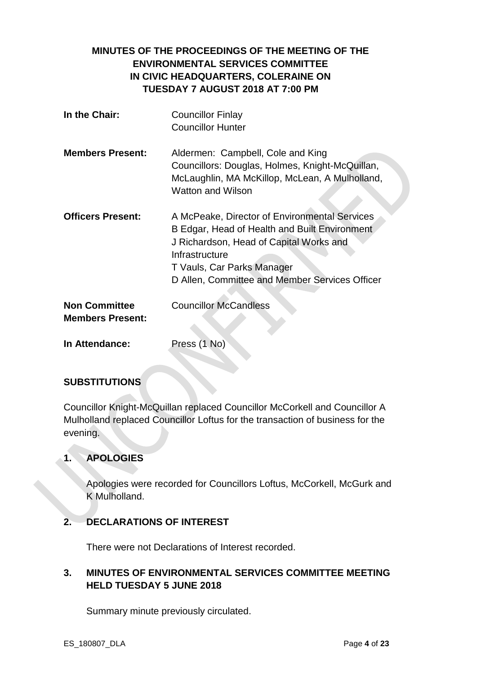# **MINUTES OF THE PROCEEDINGS OF THE MEETING OF THE ENVIRONMENTAL SERVICES COMMITTEE IN CIVIC HEADQUARTERS, COLERAINE ON TUESDAY 7 AUGUST 2018 AT 7:00 PM**

| In the Chair:                                   | <b>Councillor Finlay</b><br><b>Councillor Hunter</b>                                                                                                                                                                                        |
|-------------------------------------------------|---------------------------------------------------------------------------------------------------------------------------------------------------------------------------------------------------------------------------------------------|
| <b>Members Present:</b>                         | Aldermen: Campbell, Cole and King<br>Councillors: Douglas, Holmes, Knight-McQuillan,<br>McLaughlin, MA McKillop, McLean, A Mulholland,<br><b>Watton and Wilson</b>                                                                          |
| <b>Officers Present:</b>                        | A McPeake, Director of Environmental Services<br>B Edgar, Head of Health and Built Environment<br>J Richardson, Head of Capital Works and<br>Infrastructure<br>T Vauls, Car Parks Manager<br>D Allen, Committee and Member Services Officer |
| <b>Non Committee</b><br><b>Members Present:</b> | <b>Councillor McCandless</b>                                                                                                                                                                                                                |
| In Attendance:                                  | Press (1 No)                                                                                                                                                                                                                                |

### **SUBSTITUTIONS**

Councillor Knight-McQuillan replaced Councillor McCorkell and Councillor A Mulholland replaced Councillor Loftus for the transaction of business for the evening.

# **1. APOLOGIES**

Apologies were recorded for Councillors Loftus, McCorkell, McGurk and K Mulholland.

### **2. DECLARATIONS OF INTEREST**

There were not Declarations of Interest recorded.

# **3. MINUTES OF ENVIRONMENTAL SERVICES COMMITTEE MEETING HELD TUESDAY 5 JUNE 2018**

Summary minute previously circulated.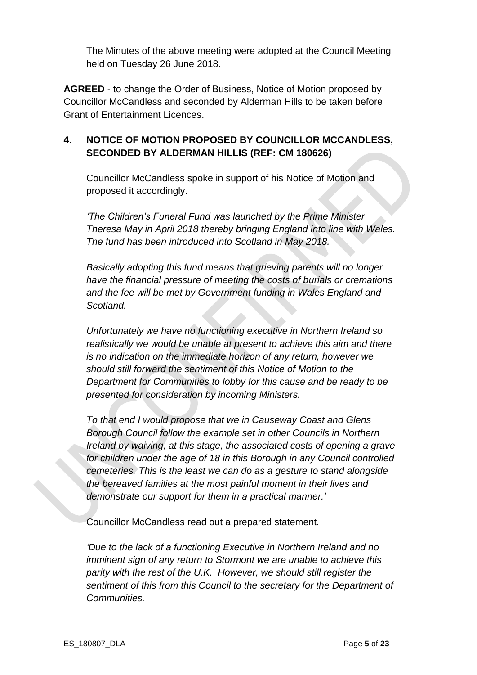The Minutes of the above meeting were adopted at the Council Meeting held on Tuesday 26 June 2018.

**AGREED** - to change the Order of Business, Notice of Motion proposed by Councillor McCandless and seconded by Alderman Hills to be taken before Grant of Entertainment Licences.

# **4**. **NOTICE OF MOTION PROPOSED BY COUNCILLOR MCCANDLESS, SECONDED BY ALDERMAN HILLIS (REF: CM 180626)**

Councillor McCandless spoke in support of his Notice of Motion and proposed it accordingly.

*'The Children's Funeral Fund was launched by the Prime Minister Theresa May in April 2018 thereby bringing England into line with Wales. The fund has been introduced into Scotland in May 2018.*

*Basically adopting this fund means that grieving parents will no longer have the financial pressure of meeting the costs of burials or cremations and the fee will be met by Government funding in Wales England and Scotland.*

*Unfortunately we have no functioning executive in Northern Ireland so realistically we would be unable at present to achieve this aim and there is no indication on the immediate horizon of any return, however we should still forward the sentiment of this Notice of Motion to the Department for Communities to lobby for this cause and be ready to be presented for consideration by incoming Ministers.*

*To that end I would propose that we in Causeway Coast and Glens Borough Council follow the example set in other Councils in Northern Ireland by waiving, at this stage, the associated costs of opening a grave for children under the age of 18 in this Borough in any Council controlled cemeteries. This is the least we can do as a gesture to stand alongside the bereaved families at the most painful moment in their lives and demonstrate our support for them in a practical manner.'*

Councillor McCandless read out a prepared statement.

*'Due to the lack of a functioning Executive in Northern Ireland and no imminent sign of any return to Stormont we are unable to achieve this parity with the rest of the U.K. However, we should still register the sentiment of this from this Council to the secretary for the Department of Communities.*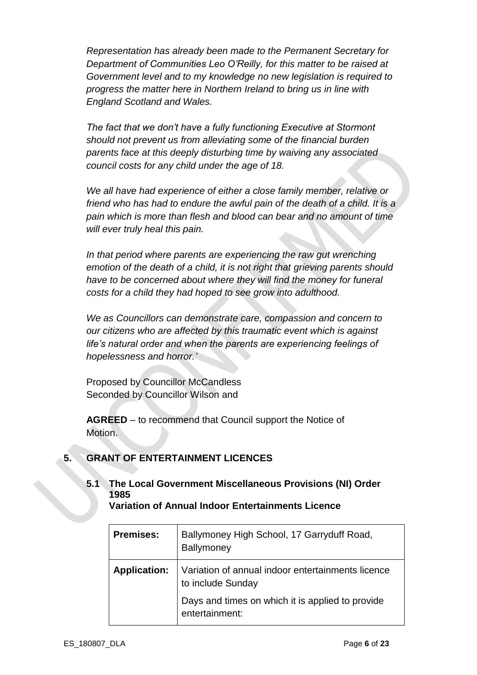*Representation has already been made to the Permanent Secretary for Department of Communities Leo O'Reilly, for this matter to be raised at Government level and to my knowledge no new legislation is required to progress the matter here in Northern Ireland to bring us in line with England Scotland and Wales.*

*The fact that we don't have a fully functioning Executive at Stormont should not prevent us from alleviating some of the financial burden parents face at this deeply disturbing time by waiving any associated council costs for any child under the age of 18.*

*We all have had experience of either a close family member, relative or friend who has had to endure the awful pain of the death of a child. It is a pain which is more than flesh and blood can bear and no amount of time will ever truly heal this pain.*

In that period where parents are experiencing the raw gut wrenching *emotion of the death of a child, it is not right that grieving parents should have to be concerned about where they will find the money for funeral costs for a child they had hoped to see grow into adulthood.*

*We as Councillors can demonstrate care, compassion and concern to our citizens who are affected by this traumatic event which is against life's natural order and when the parents are experiencing feelings of hopelessness and horror.'*

Proposed by Councillor McCandless Seconded by Councillor Wilson and

**AGREED** – to recommend that Council support the Notice of Motion.

# **5. GRANT OF ENTERTAINMENT LICENCES**

# **5.1 The Local Government Miscellaneous Provisions (NI) Order 1985**

**Variation of Annual Indoor Entertainments Licence**

| <b>Premises:</b>    | Ballymoney High School, 17 Garryduff Road,<br><b>Ballymoney</b>        |
|---------------------|------------------------------------------------------------------------|
| <b>Application:</b> | Variation of annual indoor entertainments licence<br>to include Sunday |
|                     | Days and times on which it is applied to provide<br>entertainment:     |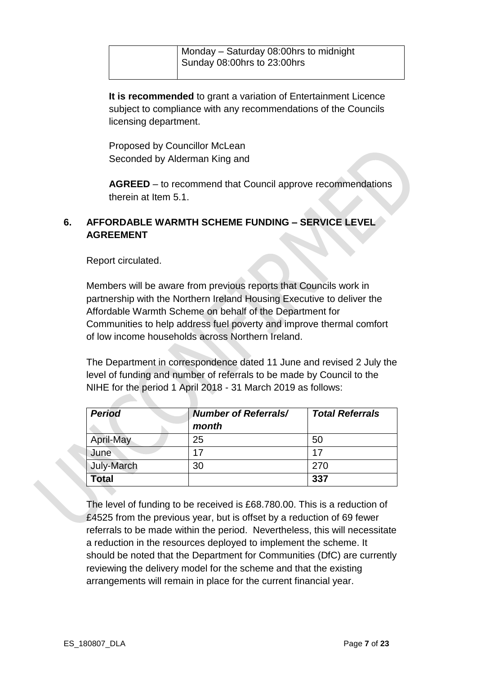**It is recommended** to grant a variation of Entertainment Licence subject to compliance with any recommendations of the Councils licensing department.

Proposed by Councillor McLean Seconded by Alderman King and

**AGREED** – to recommend that Council approve recommendations therein at Item 5.1.

# **6. AFFORDABLE WARMTH SCHEME FUNDING – SERVICE LEVEL AGREEMENT**

Report circulated.

Members will be aware from previous reports that Councils work in partnership with the Northern Ireland Housing Executive to deliver the Affordable Warmth Scheme on behalf of the Department for Communities to help address fuel poverty and improve thermal comfort of low income households across Northern Ireland.

The Department in correspondence dated 11 June and revised 2 July the level of funding and number of referrals to be made by Council to the NIHE for the period 1 April 2018 - 31 March 2019 as follows:

| <b>Period</b> | <b>Number of Referrals/</b> | <b>Total Referrals</b> |
|---------------|-----------------------------|------------------------|
|               | month                       |                        |
| April-May     | 25                          | 50                     |
| June          | 17                          | 17                     |
| July-March    | 30                          | 270                    |
| <b>Total</b>  |                             | 337                    |

The level of funding to be received is £68.780.00. This is a reduction of £4525 from the previous year, but is offset by a reduction of 69 fewer referrals to be made within the period. Nevertheless, this will necessitate a reduction in the resources deployed to implement the scheme. It should be noted that the Department for Communities (DfC) are currently reviewing the delivery model for the scheme and that the existing arrangements will remain in place for the current financial year.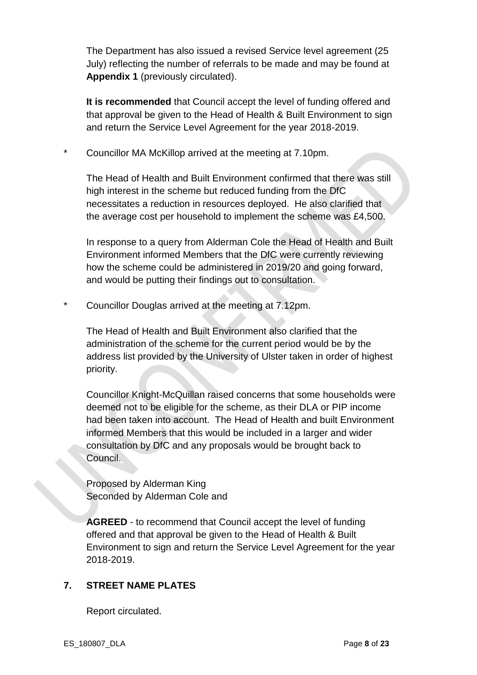The Department has also issued a revised Service level agreement (25 July) reflecting the number of referrals to be made and may be found at **Appendix 1** (previously circulated).

**It is recommended** that Council accept the level of funding offered and that approval be given to the Head of Health & Built Environment to sign and return the Service Level Agreement for the year 2018-2019.

\* Councillor MA McKillop arrived at the meeting at 7.10pm.

The Head of Health and Built Environment confirmed that there was still high interest in the scheme but reduced funding from the DfC necessitates a reduction in resources deployed. He also clarified that the average cost per household to implement the scheme was £4,500.

In response to a query from Alderman Cole the Head of Health and Built Environment informed Members that the DfC were currently reviewing how the scheme could be administered in 2019/20 and going forward, and would be putting their findings out to consultation.

Councillor Douglas arrived at the meeting at 7.12pm.

The Head of Health and Built Environment also clarified that the administration of the scheme for the current period would be by the address list provided by the University of Ulster taken in order of highest priority.

Councillor Knight-McQuillan raised concerns that some households were deemed not to be eligible for the scheme, as their DLA or PIP income had been taken into account. The Head of Health and built Environment informed Members that this would be included in a larger and wider consultation by DfC and any proposals would be brought back to Council.

Proposed by Alderman King Seconded by Alderman Cole and

**AGREED** - to recommend that Council accept the level of funding offered and that approval be given to the Head of Health & Built Environment to sign and return the Service Level Agreement for the year 2018-2019.

# **7. STREET NAME PLATES**

Report circulated.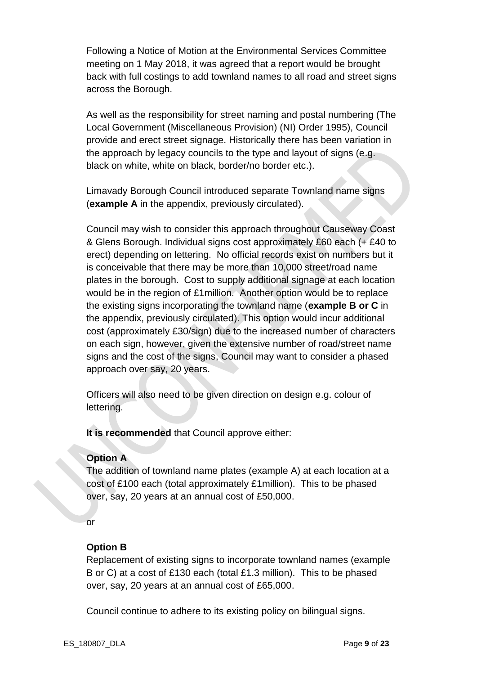Following a Notice of Motion at the Environmental Services Committee meeting on 1 May 2018, it was agreed that a report would be brought back with full costings to add townland names to all road and street signs across the Borough.

As well as the responsibility for street naming and postal numbering (The Local Government (Miscellaneous Provision) (NI) Order 1995), Council provide and erect street signage. Historically there has been variation in the approach by legacy councils to the type and layout of signs (e.g. black on white, white on black, border/no border etc.).

Limavady Borough Council introduced separate Townland name signs (**example A** in the appendix, previously circulated).

Council may wish to consider this approach throughout Causeway Coast & Glens Borough. Individual signs cost approximately £60 each (+ £40 to erect) depending on lettering. No official records exist on numbers but it is conceivable that there may be more than 10,000 street/road name plates in the borough. Cost to supply additional signage at each location would be in the region of £1million. Another option would be to replace the existing signs incorporating the townland name (**example B or C** in the appendix, previously circulated). This option would incur additional cost (approximately £30/sign) due to the increased number of characters on each sign, however, given the extensive number of road/street name signs and the cost of the signs, Council may want to consider a phased approach over say, 20 years.

Officers will also need to be given direction on design e.g. colour of lettering.

**It is recommended** that Council approve either:

#### **Option A**

The addition of townland name plates (example A) at each location at a cost of £100 each (total approximately £1million). This to be phased over, say, 20 years at an annual cost of £50,000.

or

### **Option B**

Replacement of existing signs to incorporate townland names (example B or C) at a cost of £130 each (total £1.3 million). This to be phased over, say, 20 years at an annual cost of £65,000.

Council continue to adhere to its existing policy on bilingual signs.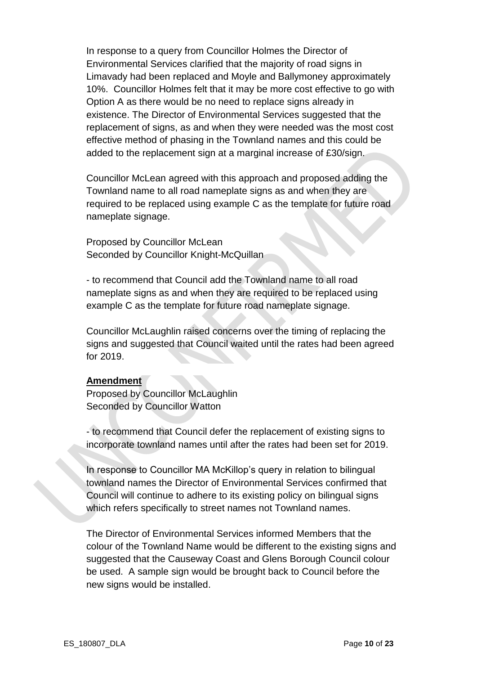In response to a query from Councillor Holmes the Director of Environmental Services clarified that the majority of road signs in Limavady had been replaced and Moyle and Ballymoney approximately 10%. Councillor Holmes felt that it may be more cost effective to go with Option A as there would be no need to replace signs already in existence. The Director of Environmental Services suggested that the replacement of signs, as and when they were needed was the most cost effective method of phasing in the Townland names and this could be added to the replacement sign at a marginal increase of £30/sign.

Councillor McLean agreed with this approach and proposed adding the Townland name to all road nameplate signs as and when they are required to be replaced using example C as the template for future road nameplate signage.

Proposed by Councillor McLean Seconded by Councillor Knight-McQuillan

- to recommend that Council add the Townland name to all road nameplate signs as and when they are required to be replaced using example C as the template for future road nameplate signage.

Councillor McLaughlin raised concerns over the timing of replacing the signs and suggested that Council waited until the rates had been agreed for 2019.

#### **Amendment**

Proposed by Councillor McLaughlin Seconded by Councillor Watton

- to recommend that Council defer the replacement of existing signs to incorporate townland names until after the rates had been set for 2019.

In response to Councillor MA McKillop's query in relation to bilingual townland names the Director of Environmental Services confirmed that Council will continue to adhere to its existing policy on bilingual signs which refers specifically to street names not Townland names.

The Director of Environmental Services informed Members that the colour of the Townland Name would be different to the existing signs and suggested that the Causeway Coast and Glens Borough Council colour be used. A sample sign would be brought back to Council before the new signs would be installed.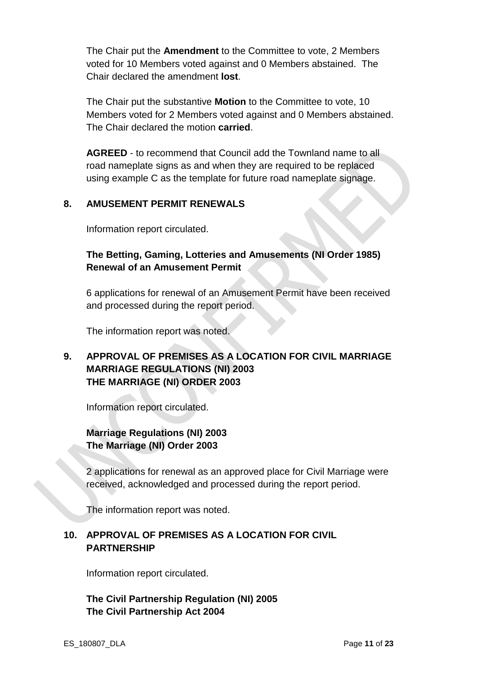The Chair put the **Amendment** to the Committee to vote, 2 Members voted for 10 Members voted against and 0 Members abstained. The Chair declared the amendment **lost**.

The Chair put the substantive **Motion** to the Committee to vote, 10 Members voted for 2 Members voted against and 0 Members abstained. The Chair declared the motion **carried**.

**AGREED** - to recommend that Council add the Townland name to all road nameplate signs as and when they are required to be replaced using example C as the template for future road nameplate signage.

### **8. AMUSEMENT PERMIT RENEWALS**

Information report circulated.

## **The Betting, Gaming, Lotteries and Amusements (NI Order 1985) Renewal of an Amusement Permit**

6 applications for renewal of an Amusement Permit have been received and processed during the report period.

The information report was noted.

## **9. APPROVAL OF PREMISES AS A LOCATION FOR CIVIL MARRIAGE MARRIAGE REGULATIONS (NI) 2003 THE MARRIAGE (NI) ORDER 2003**

Information report circulated.

# **Marriage Regulations (NI) 2003 The Marriage (NI) Order 2003**

2 applications for renewal as an approved place for Civil Marriage were received, acknowledged and processed during the report period.

The information report was noted.

### **10. APPROVAL OF PREMISES AS A LOCATION FOR CIVIL PARTNERSHIP**

Information report circulated.

**The Civil Partnership Regulation (NI) 2005 The Civil Partnership Act 2004**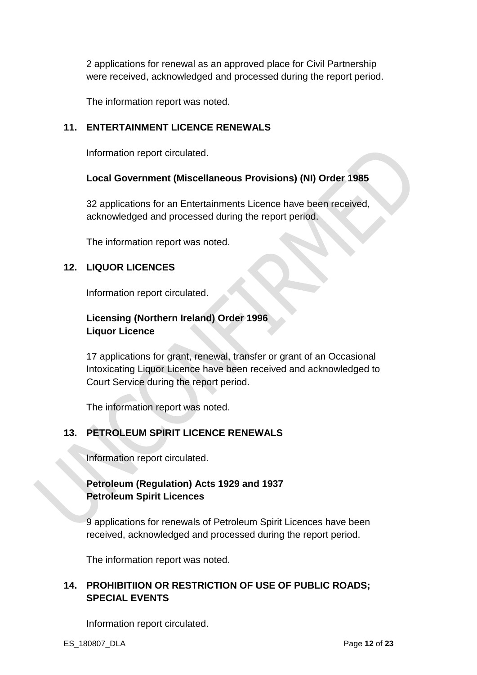2 applications for renewal as an approved place for Civil Partnership were received, acknowledged and processed during the report period.

The information report was noted.

#### **11. ENTERTAINMENT LICENCE RENEWALS**

Information report circulated.

#### **Local Government (Miscellaneous Provisions) (NI) Order 1985**

32 applications for an Entertainments Licence have been received, acknowledged and processed during the report period.

The information report was noted.

#### **12. LIQUOR LICENCES**

Information report circulated.

# **Licensing (Northern Ireland) Order 1996 Liquor Licence**

17 applications for grant, renewal, transfer or grant of an Occasional Intoxicating Liquor Licence have been received and acknowledged to Court Service during the report period.

The information report was noted.

### **13. PETROLEUM SPIRIT LICENCE RENEWALS**

Information report circulated.

# **Petroleum (Regulation) Acts 1929 and 1937 Petroleum Spirit Licences**

9 applications for renewals of Petroleum Spirit Licences have been received, acknowledged and processed during the report period.

The information report was noted.

### **14. PROHIBITIION OR RESTRICTION OF USE OF PUBLIC ROADS; SPECIAL EVENTS**

Information report circulated.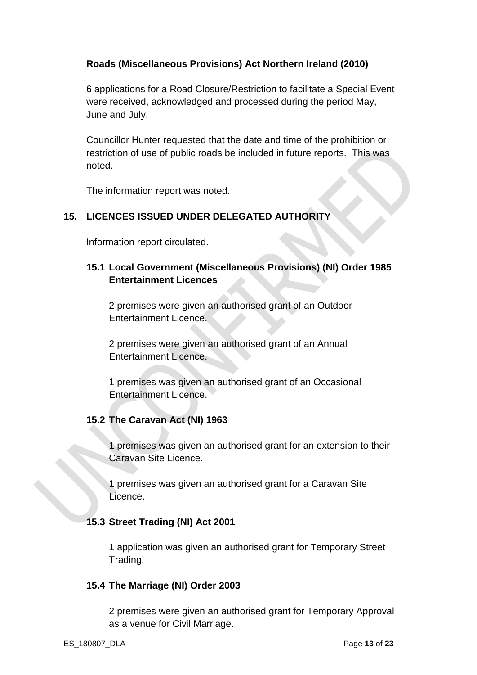### **Roads (Miscellaneous Provisions) Act Northern Ireland (2010)**

6 applications for a Road Closure/Restriction to facilitate a Special Event were received, acknowledged and processed during the period May, June and July.

Councillor Hunter requested that the date and time of the prohibition or restriction of use of public roads be included in future reports. This was noted.

The information report was noted.

# **15. LICENCES ISSUED UNDER DELEGATED AUTHORITY**

Information report circulated.

# **15.1 Local Government (Miscellaneous Provisions) (NI) Order 1985 Entertainment Licences**

2 premises were given an authorised grant of an Outdoor Entertainment Licence.

2 premises were given an authorised grant of an Annual Entertainment Licence.

1 premises was given an authorised grant of an Occasional Entertainment Licence.

# **15.2 The Caravan Act (NI) 1963**

1 premises was given an authorised grant for an extension to their Caravan Site Licence.

1 premises was given an authorised grant for a Caravan Site Licence.

### **15.3 Street Trading (NI) Act 2001**

1 application was given an authorised grant for Temporary Street Trading.

### **15.4 The Marriage (NI) Order 2003**

2 premises were given an authorised grant for Temporary Approval as a venue for Civil Marriage.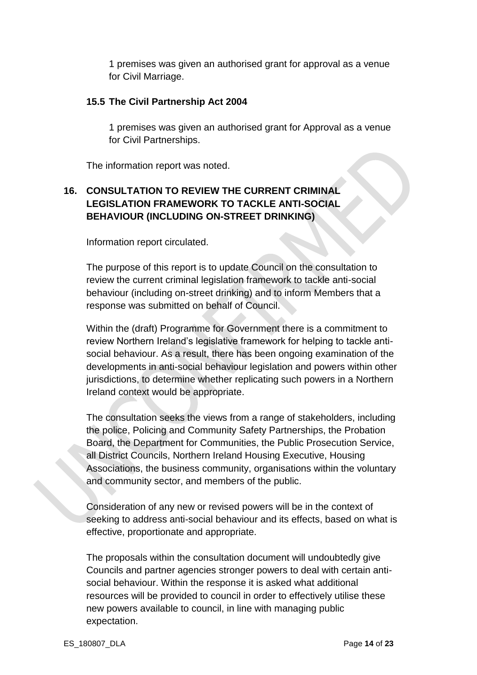1 premises was given an authorised grant for approval as a venue for Civil Marriage.

#### **15.5 The Civil Partnership Act 2004**

1 premises was given an authorised grant for Approval as a venue for Civil Partnerships.

The information report was noted.

# **16. CONSULTATION TO REVIEW THE CURRENT CRIMINAL LEGISLATION FRAMEWORK TO TACKLE ANTI-SOCIAL BEHAVIOUR (INCLUDING ON-STREET DRINKING)**

Information report circulated.

The purpose of this report is to update Council on the consultation to review the current criminal legislation framework to tackle anti-social behaviour (including on-street drinking) and to inform Members that a response was submitted on behalf of Council.

Within the (draft) Programme for Government there is a commitment to review Northern Ireland's legislative framework for helping to tackle antisocial behaviour. As a result, there has been ongoing examination of the developments in anti-social behaviour legislation and powers within other jurisdictions, to determine whether replicating such powers in a Northern Ireland context would be appropriate.

The consultation seeks the views from a range of stakeholders, including the police, Policing and Community Safety Partnerships, the Probation Board, the Department for Communities, the Public Prosecution Service, all District Councils, Northern Ireland Housing Executive, Housing Associations, the business community, organisations within the voluntary and community sector, and members of the public.

Consideration of any new or revised powers will be in the context of seeking to address anti-social behaviour and its effects, based on what is effective, proportionate and appropriate.

The proposals within the consultation document will undoubtedly give Councils and partner agencies stronger powers to deal with certain antisocial behaviour. Within the response it is asked what additional resources will be provided to council in order to effectively utilise these new powers available to council, in line with managing public expectation.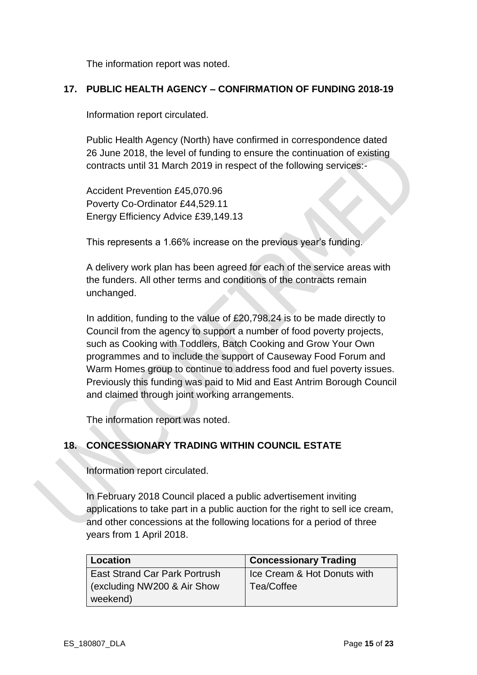The information report was noted.

#### **17. PUBLIC HEALTH AGENCY – CONFIRMATION OF FUNDING 2018-19**

Information report circulated.

Public Health Agency (North) have confirmed in correspondence dated 26 June 2018, the level of funding to ensure the continuation of existing contracts until 31 March 2019 in respect of the following services:-

Accident Prevention £45,070.96 Poverty Co-Ordinator £44,529.11 Energy Efficiency Advice £39,149.13

This represents a 1.66% increase on the previous year's funding.

A delivery work plan has been agreed for each of the service areas with the funders. All other terms and conditions of the contracts remain unchanged.

In addition, funding to the value of £20,798.24 is to be made directly to Council from the agency to support a number of food poverty projects, such as Cooking with Toddlers, Batch Cooking and Grow Your Own programmes and to include the support of Causeway Food Forum and Warm Homes group to continue to address food and fuel poverty issues. Previously this funding was paid to Mid and East Antrim Borough Council and claimed through joint working arrangements.

The information report was noted.

### **18. CONCESSIONARY TRADING WITHIN COUNCIL ESTATE**

Information report circulated.

In February 2018 Council placed a public advertisement inviting applications to take part in a public auction for the right to sell ice cream, and other concessions at the following locations for a period of three years from 1 April 2018.

| Location                             | <b>Concessionary Trading</b> |
|--------------------------------------|------------------------------|
| <b>East Strand Car Park Portrush</b> | Ice Cream & Hot Donuts with  |
| (excluding NW200 & Air Show          | Tea/Coffee                   |
| weekend)                             |                              |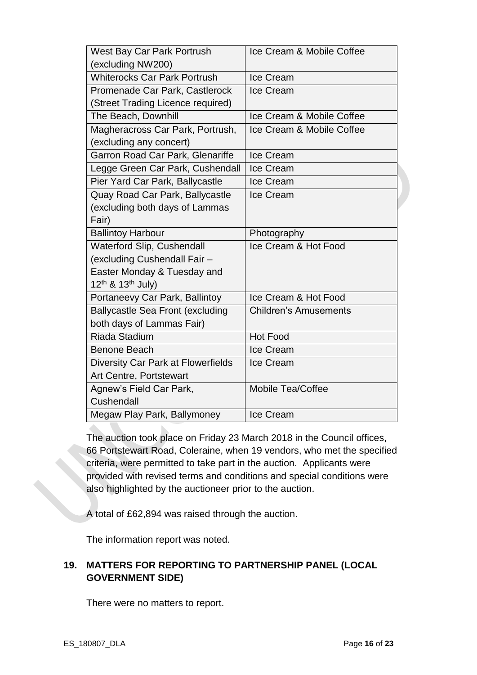| West Bay Car Park Portrush                | Ice Cream & Mobile Coffee    |
|-------------------------------------------|------------------------------|
| (excluding NW200)                         |                              |
| <b>Whiterocks Car Park Portrush</b>       | Ice Cream                    |
| Promenade Car Park, Castlerock            | Ice Cream                    |
| (Street Trading Licence required)         |                              |
| The Beach, Downhill                       | Ice Cream & Mobile Coffee    |
| Magheracross Car Park, Portrush,          | Ice Cream & Mobile Coffee    |
| (excluding any concert)                   |                              |
| Garron Road Car Park, Glenariffe          | Ice Cream                    |
| Legge Green Car Park, Cushendall          | Ice Cream                    |
| Pier Yard Car Park, Ballycastle           | Ice Cream                    |
| Quay Road Car Park, Ballycastle           | Ice Cream                    |
| (excluding both days of Lammas            |                              |
| Fair)                                     |                              |
| <b>Ballintoy Harbour</b>                  | Photography                  |
| Waterford Slip, Cushendall                | Ice Cream & Hot Food         |
| (excluding Cushendall Fair -              |                              |
| Easter Monday & Tuesday and               |                              |
| 12 <sup>th</sup> & 13 <sup>th</sup> July) |                              |
| Portaneevy Car Park, Ballintoy            | Ice Cream & Hot Food         |
| <b>Ballycastle Sea Front (excluding</b>   | <b>Children's Amusements</b> |
| both days of Lammas Fair)                 |                              |
| <b>Riada Stadium</b>                      | <b>Hot Food</b>              |
| <b>Benone Beach</b>                       | Ice Cream                    |
| Diversity Car Park at Flowerfields        | Ice Cream                    |
| Art Centre, Portstewart                   |                              |
| Agnew's Field Car Park,                   | Mobile Tea/Coffee            |
| Cushendall                                |                              |
| Megaw Play Park, Ballymoney               | Ice Cream                    |

The auction took place on Friday 23 March 2018 in the Council offices, 66 Portstewart Road, Coleraine, when 19 vendors, who met the specified criteria, were permitted to take part in the auction. Applicants were provided with revised terms and conditions and special conditions were also highlighted by the auctioneer prior to the auction.

A total of £62,894 was raised through the auction.

The information report was noted.

# **19. MATTERS FOR REPORTING TO PARTNERSHIP PANEL (LOCAL GOVERNMENT SIDE)**

There were no matters to report.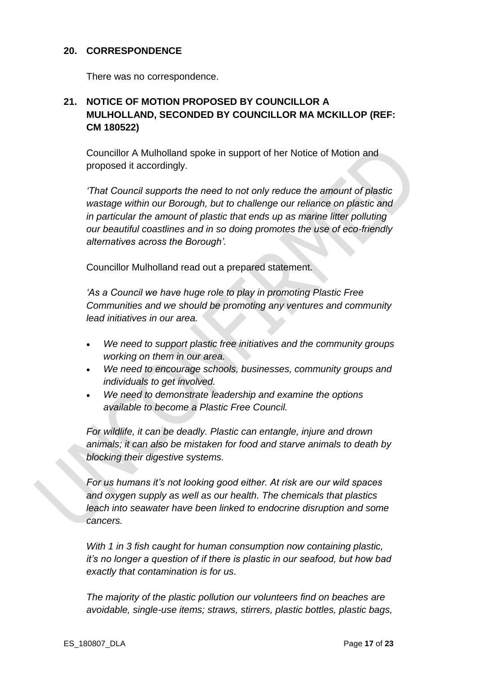#### **20. CORRESPONDENCE**

There was no correspondence.

# **21. NOTICE OF MOTION PROPOSED BY COUNCILLOR A MULHOLLAND, SECONDED BY COUNCILLOR MA MCKILLOP (REF: CM 180522)**

Councillor A Mulholland spoke in support of her Notice of Motion and proposed it accordingly.

*'That Council supports the need to not only reduce the amount of plastic wastage within our Borough, but to challenge our reliance on plastic and in particular the amount of plastic that ends up as marine litter polluting our beautiful coastlines and in so doing promotes the use of eco-friendly alternatives across the Borough'.* 

Councillor Mulholland read out a prepared statement.

*'As a Council we have huge role to play in promoting Plastic Free Communities and we should be promoting any ventures and community lead initiatives in our area.*

- *We need to support plastic free initiatives and the community groups working on them in our area.*
- *We need to encourage schools, businesses, community groups and individuals to get involved.*
- *We need to demonstrate leadership and examine the options available to become a Plastic Free Council.*

*For wildlife, it can be deadly. Plastic can entangle, injure and drown animals; it can also be mistaken for food and starve animals to death by blocking their digestive systems.*

*For us humans it's not looking good either. At risk are our wild spaces and oxygen supply as well as our health. The chemicals that plastics leach into seawater have been linked to endocrine disruption and some cancers.*

*With 1 in 3 fish caught for human consumption now containing plastic, it's no longer a question of if there is plastic in our seafood, but how bad exactly that contamination is for us.*

*The majority of the plastic pollution our volunteers find on beaches are avoidable, single-use items; straws, stirrers, plastic bottles, plastic bags,*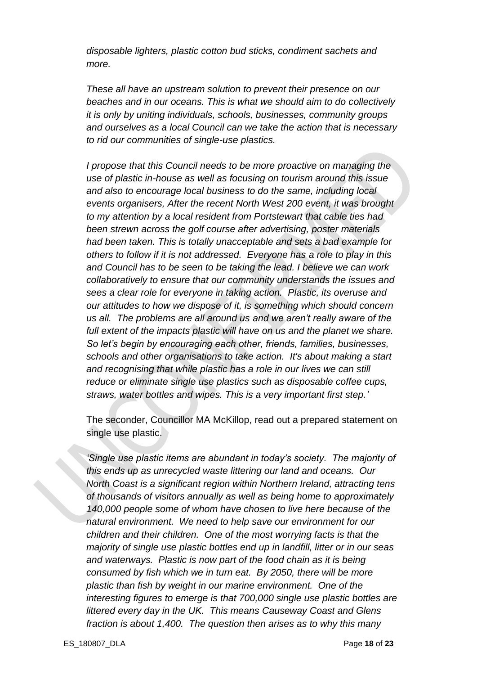*disposable lighters, plastic cotton bud sticks, condiment sachets and more.*

*These all have an upstream solution to prevent their presence on our beaches and in our oceans. This is what we should aim to do collectively it is only by uniting individuals, schools, businesses, community groups and ourselves as a local Council can we take the action that is necessary to rid our communities of single-use plastics.*

*I propose that this Council needs to be more proactive on managing the use of plastic in-house as well as focusing on tourism around this issue and also to encourage local business to do the same, including local events organisers, After the recent North West 200 event, it was brought to my attention by a local resident from Portstewart that cable ties had been strewn across the golf course after advertising, poster materials had been taken. This is totally unacceptable and sets a bad example for others to follow if it is not addressed. Everyone has a role to play in this and Council has to be seen to be taking the lead. I believe we can work collaboratively to ensure that our community understands the issues and sees a clear role for everyone in taking action. Plastic, its overuse and our attitudes to how we dispose of it, is something which should concern us all. The problems are all around us and we aren't really aware of the full extent of the impacts plastic will have on us and the planet we share. So let's begin by encouraging each other, friends, families, businesses, schools and other organisations to take action. It's about making a start and recognising that while plastic has a role in our lives we can still reduce or eliminate single use plastics such as disposable coffee cups, straws, water bottles and wipes. This is a very important first step.'*

The seconder, Councillor MA McKillop, read out a prepared statement on single use plastic.

*'Single use plastic items are abundant in today's society. The majority of this ends up as unrecycled waste littering our land and oceans. Our North Coast is a significant region within Northern Ireland, attracting tens of thousands of visitors annually as well as being home to approximately 140,000 people some of whom have chosen to live here because of the natural environment. We need to help save our environment for our children and their children. One of the most worrying facts is that the majority of single use plastic bottles end up in landfill, litter or in our seas and waterways. Plastic is now part of the food chain as it is being consumed by fish which we in turn eat. By 2050, there will be more plastic than fish by weight in our marine environment. One of the interesting figures to emerge is that 700,000 single use plastic bottles are littered every day in the UK. This means Causeway Coast and Glens fraction is about 1,400. The question then arises as to why this many*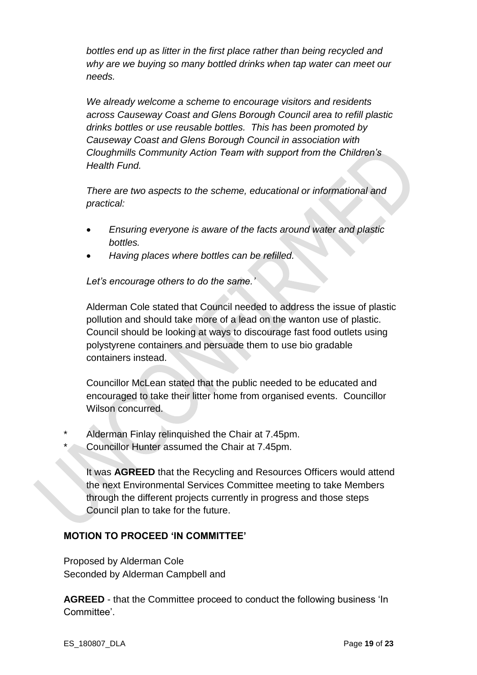*bottles end up as litter in the first place rather than being recycled and why are we buying so many bottled drinks when tap water can meet our needs.*

*We already welcome a scheme to encourage visitors and residents across Causeway Coast and Glens Borough Council area to refill plastic drinks bottles or use reusable bottles. This has been promoted by Causeway Coast and Glens Borough Council in association with Cloughmills Community Action Team with support from the Children's Health Fund.* 

*There are two aspects to the scheme, educational or informational and practical:*

- *Ensuring everyone is aware of the facts around water and plastic bottles.*
- *Having places where bottles can be refilled.*

*Let's encourage others to do the same.'*

Alderman Cole stated that Council needed to address the issue of plastic pollution and should take more of a lead on the wanton use of plastic. Council should be looking at ways to discourage fast food outlets using polystyrene containers and persuade them to use bio gradable containers instead.

Councillor McLean stated that the public needed to be educated and encouraged to take their litter home from organised events. Councillor Wilson concurred.

- Alderman Finlay relinquished the Chair at 7.45pm.
	- Councillor Hunter assumed the Chair at 7.45pm.

It was **AGREED** that the Recycling and Resources Officers would attend the next Environmental Services Committee meeting to take Members through the different projects currently in progress and those steps Council plan to take for the future.

### **MOTION TO PROCEED 'IN COMMITTEE'**

Proposed by Alderman Cole Seconded by Alderman Campbell and

**AGREED** - that the Committee proceed to conduct the following business 'In Committee'.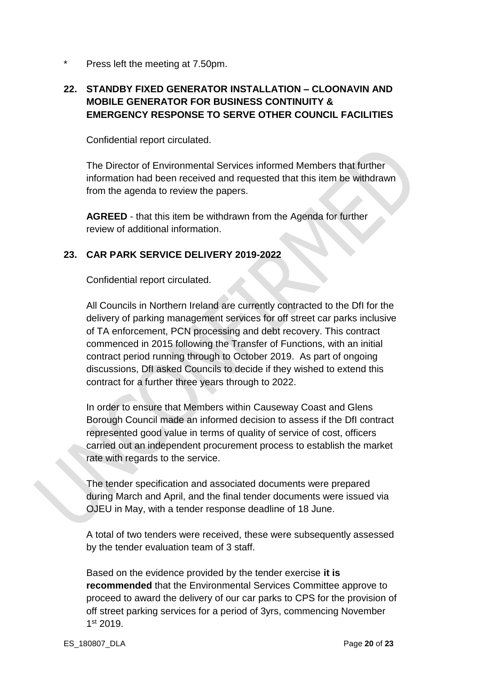\* Press left the meeting at 7.50pm.

# **22. STANDBY FIXED GENERATOR INSTALLATION – CLOONAVIN AND MOBILE GENERATOR FOR BUSINESS CONTINUITY & EMERGENCY RESPONSE TO SERVE OTHER COUNCIL FACILITIES**

Confidential report circulated.

The Director of Environmental Services informed Members that further information had been received and requested that this item be withdrawn from the agenda to review the papers.

**AGREED** - that this item be withdrawn from the Agenda for further review of additional information.

### **23. CAR PARK SERVICE DELIVERY 2019-2022**

Confidential report circulated.

All Councils in Northern Ireland are currently contracted to the DfI for the delivery of parking management services for off street car parks inclusive of TA enforcement, PCN processing and debt recovery. This contract commenced in 2015 following the Transfer of Functions, with an initial contract period running through to October 2019. As part of ongoing discussions, DfI asked Councils to decide if they wished to extend this contract for a further three years through to 2022.

In order to ensure that Members within Causeway Coast and Glens Borough Council made an informed decision to assess if the DfI contract represented good value in terms of quality of service of cost, officers carried out an independent procurement process to establish the market rate with regards to the service.

The tender specification and associated documents were prepared during March and April, and the final tender documents were issued via OJEU in May, with a tender response deadline of 18 June.

A total of two tenders were received, these were subsequently assessed by the tender evaluation team of 3 staff.

Based on the evidence provided by the tender exercise **it is recommended** that the Environmental Services Committee approve to proceed to award the delivery of our car parks to CPS for the provision of off street parking services for a period of 3yrs, commencing November 1 st 2019.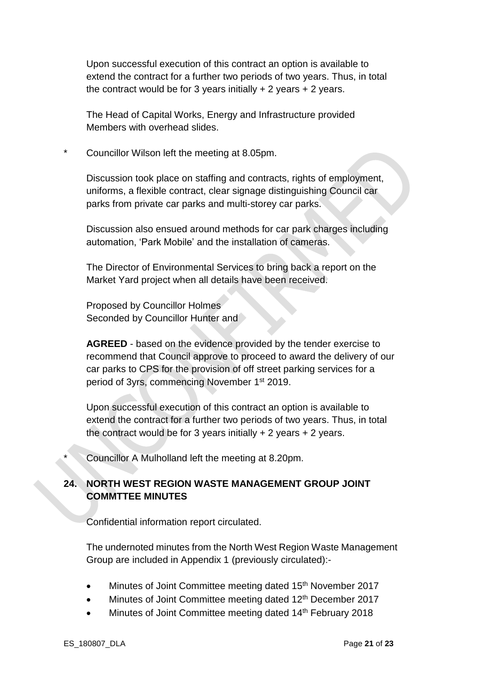Upon successful execution of this contract an option is available to extend the contract for a further two periods of two years. Thus, in total the contract would be for 3 years initially  $+ 2$  years  $+ 2$  years.

The Head of Capital Works, Energy and Infrastructure provided Members with overhead slides.

Councillor Wilson left the meeting at 8.05pm.

Discussion took place on staffing and contracts, rights of employment, uniforms, a flexible contract, clear signage distinguishing Council car parks from private car parks and multi-storey car parks.

Discussion also ensued around methods for car park charges including automation, 'Park Mobile' and the installation of cameras.

The Director of Environmental Services to bring back a report on the Market Yard project when all details have been received.

Proposed by Councillor Holmes Seconded by Councillor Hunter and

**AGREED** - based on the evidence provided by the tender exercise to recommend that Council approve to proceed to award the delivery of our car parks to CPS for the provision of off street parking services for a period of 3yrs, commencing November 1st 2019.

Upon successful execution of this contract an option is available to extend the contract for a further two periods of two years. Thus, in total the contract would be for 3 years initially  $+ 2$  years  $+ 2$  years.

Councillor A Mulholland left the meeting at 8.20pm.

#### **24. NORTH WEST REGION WASTE MANAGEMENT GROUP JOINT COMMTTEE MINUTES**

Confidential information report circulated.

The undernoted minutes from the North West Region Waste Management Group are included in Appendix 1 (previously circulated):-

- Minutes of Joint Committee meeting dated 15<sup>th</sup> November 2017
- Minutes of Joint Committee meeting dated 12<sup>th</sup> December 2017
- Minutes of Joint Committee meeting dated 14<sup>th</sup> February 2018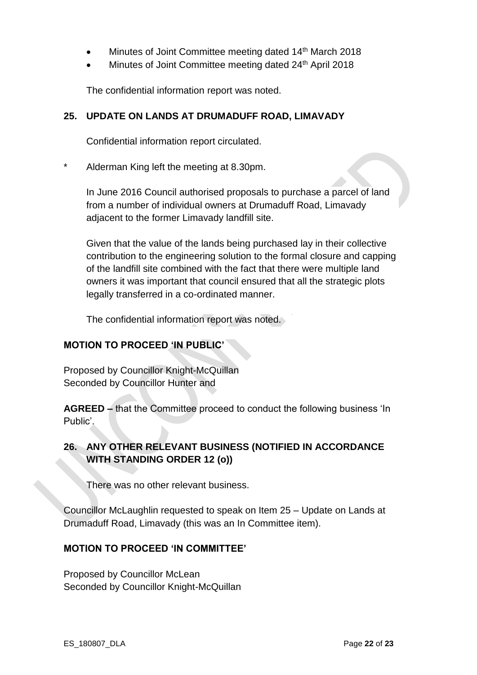- Minutes of Joint Committee meeting dated 14<sup>th</sup> March 2018
- Minutes of Joint Committee meeting dated 24<sup>th</sup> April 2018

The confidential information report was noted.

#### **25. UPDATE ON LANDS AT DRUMADUFF ROAD, LIMAVADY**

Confidential information report circulated.

Alderman King left the meeting at 8.30pm.

In June 2016 Council authorised proposals to purchase a parcel of land from a number of individual owners at Drumaduff Road, Limavady adjacent to the former Limavady landfill site.

Given that the value of the lands being purchased lay in their collective contribution to the engineering solution to the formal closure and capping of the landfill site combined with the fact that there were multiple land owners it was important that council ensured that all the strategic plots legally transferred in a co-ordinated manner.

The confidential information report was noted.

#### **MOTION TO PROCEED 'IN PUBLIC'**

Proposed by Councillor Knight-McQuillan Seconded by Councillor Hunter and

**AGREED –** that the Committee proceed to conduct the following business 'In Public'.

### **26. ANY OTHER RELEVANT BUSINESS (NOTIFIED IN ACCORDANCE WITH STANDING ORDER 12 (o))**

There was no other relevant business.

Councillor McLaughlin requested to speak on Item 25 – Update on Lands at Drumaduff Road, Limavady (this was an In Committee item).

#### **MOTION TO PROCEED 'IN COMMITTEE'**

Proposed by Councillor McLean Seconded by Councillor Knight-McQuillan